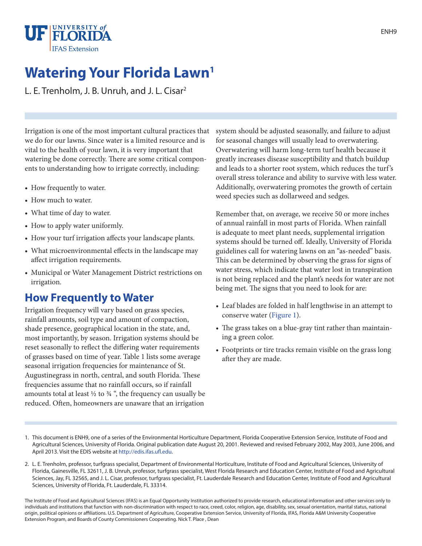

# **Watering Your Florida Lawn<sup>1</sup>**

L. E. Trenholm, J. B. Unruh, and J. L. Cisar<sup>2</sup>

Irrigation is one of the most important cultural practices that we do for our lawns. Since water is a limited resource and is vital to the health of your lawn, it is very important that watering be done correctly. There are some critical components to understanding how to irrigate correctly, including:

- How frequently to water.
- How much to water.
- What time of day to water.
- How to apply water uniformly.
- How your turf irrigation affects your landscape plants.
- What microenvironmental effects in the landscape may affect irrigation requirements.
- Municipal or Water Management District restrictions on irrigation.

### **How Frequently to Water**

Irrigation frequency will vary based on grass species, rainfall amounts, soil type and amount of compaction, shade presence, geographical location in the state, and, most importantly, by season. Irrigation systems should be reset seasonally to reflect the differing water requirements of grasses based on time of year. Table 1 lists some average seasonal irrigation frequencies for maintenance of St. Augustinegrass in north, central, and south Florida. These frequencies assume that no rainfall occurs, so if rainfall amounts total at least  $\frac{1}{2}$  to  $\frac{3}{4}$  ", the frequency can usually be reduced. Often, homeowners are unaware that an irrigation

system should be adjusted seasonally, and failure to adjust for seasonal changes will usually lead to overwatering. Overwatering will harm long-term turf health because it greatly increases disease susceptibility and thatch buildup and leads to a shorter root system, which reduces the turf's overall stress tolerance and ability to survive with less water. Additionally, overwatering promotes the growth of certain weed species such as dollarweed and sedges.

Remember that, on average, we receive 50 or more inches of annual rainfall in most parts of Florida. When rainfall is adequate to meet plant needs, supplemental irrigation systems should be turned off. Ideally, University of Florida guidelines call for watering lawns on an "as-needed" basis. This can be determined by observing the grass for signs of water stress, which indicate that water lost in transpiration is not being replaced and the plant's needs for water are not being met. The signs that you need to look for are:

- Leaf blades are folded in half lengthwise in an attempt to conserve water (Figure 1).
- The grass takes on a blue-gray tint rather than maintaining a green color.
- Footprints or tire tracks remain visible on the grass long after they are made.

The Institute of Food and Agricultural Sciences (IFAS) is an Equal Opportunity Institution authorized to provide research, educational information and other services only to individuals and institutions that function with non-discrimination with respect to race, creed, color, religion, age, disability, sex, sexual orientation, marital status, national origin, political opinions or affiliations. U.S. Department of Agriculture, Cooperative Extension Service, University of Florida, IFAS, Florida A&M University Cooperative Extension Program, and Boards of County Commissioners Cooperating. Nick T. Place , Dean

<sup>1.</sup> This document is ENH9, one of a series of the Environmental Horticulture Department, Florida Cooperative Extension Service, Institute of Food and Agricultural Sciences, University of Florida. Original publication date August 20, 2001. Reviewed and revised February 2002, May 2003, June 2006, and April 2013. Visit the EDIS website at http://edis.ifas.ufl.edu.

<sup>2.</sup> L. E. Trenholm, professor, turfgrass specialist, Department of Environmental Horticulture, Institute of Food and Agricultural Sciences, University of Florida, Gainesville, FL 32611, J. B. Unruh, professor, turfgrass specialist, West Florida Research and Education Center, Institute of Food and Agricultural Sciences, Jay, FL 32565, and J. L. Cisar, professor, turfgrass specialist, Ft. Lauderdale Research and Education Center, Institute of Food and Agricultural Sciences, University of Florida, Ft. Lauderdale, FL 33314.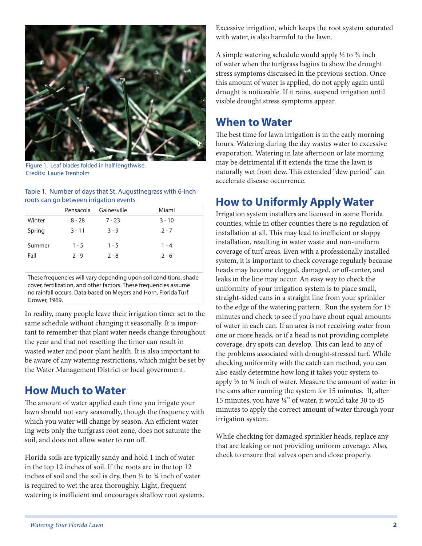

Figure 1. Leaf blades folded in half lengthwise. Credits: Laurie Trenholm

#### Table 1. Number of days that St. Augustinegrass with 6-inch roots can go between irrigation events

|                | Pensacola          | Gainesville        | Miami              |
|----------------|--------------------|--------------------|--------------------|
| Winter         | $8 - 28$           | $7 - 23$           | $3 - 10$           |
| Spring         | $3 - 11$           | $3 - 9$            | $2 - 7$            |
| Summer<br>Fall | $1 - 5$<br>$2 - 9$ | $1 - 5$<br>$2 - 8$ | $1 - 4$<br>$2 - 6$ |

These frequencies will vary depending upon soil conditions, shade cover, fertilization, and other factors. These frequencies assume no rainfall occurs. Data based on Meyers and Horn, Florida Turf Grower, 1969.

In reality, many people leave their irrigation timer set to the same schedule without changing it seasonally. It is important to remember that plant water needs change throughout the year and that not resetting the timer can result in wasted water and poor plant health. It is also important to be aware of any watering restrictions, which might be set by the Water Management District or local government.

#### **How Much to Water**

The amount of water applied each time you irrigate your lawn should not vary seasonally, though the frequency with which you water will change by season. An efficient watering wets only the turfgrass root zone, does not saturate the soil, and does not allow water to run off.

Florida soils are typically sandy and hold 1 inch of water in the top 12 inches of soil. If the roots are in the top 12 inches of soil and the soil is dry, then  $\frac{1}{2}$  to  $\frac{3}{4}$  inch of water is required to wet the area thoroughly. Light, frequent watering is inefficient and encourages shallow root systems. Excessive irrigation, which keeps the root system saturated with water, is also harmful to the lawn.

A simple watering schedule would apply  $\frac{1}{2}$  to  $\frac{3}{4}$  inch of water when the turfgrass begins to show the drought stress symptoms discussed in the previous section. Once this amount of water is applied, do not apply again until drought is noticeable. If it rains, suspend irrigation until visible drought stress symptoms appear.

#### **When to Water**

The best time for lawn irrigation is in the early morning hours. Watering during the day wastes water to excessive evaporation. Watering in late afternoon or late morning may be detrimental if it extends the time the lawn is naturally wet from dew. This extended "dew period" can accelerate disease occurrence.

# **How to Uniformly Apply Water**

Irrigation system installers are licensed in some Florida counties, while in other counties there is no regulation of installation at all. This may lead to inefficient or sloppy installation, resulting in water waste and non-uniform coverage of turf areas. Even with a professionally installed system, it is important to check coverage regularly because heads may become clogged, damaged, or off-center, and leaks in the line may occur. An easy way to check the uniformity of your irrigation system is to place small, straight-sided cans in a straight line from your sprinkler to the edge of the watering pattern. Run the system for 15 minutes and check to see if you have about equal amounts of water in each can. If an area is not receiving water from one or more heads, or if a head is not providing complete coverage, dry spots can develop. This can lead to any of the problems associated with drought-stressed turf. While checking uniformity with the catch can method, you can also easily determine how long it takes your system to apply  $\frac{1}{2}$  to  $\frac{3}{4}$  inch of water. Measure the amount of water in the cans after running the system for 15 minutes. If, after 15 minutes, you have ¼" of water, it would take 30 to 45 minutes to apply the correct amount of water through your irrigation system.

While checking for damaged sprinkler heads, replace any that are leaking or not providing uniform coverage. Also, check to ensure that valves open and close properly.